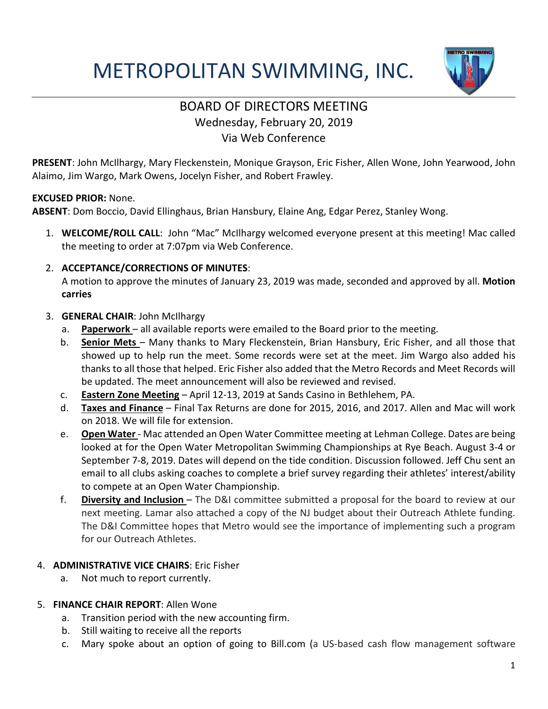# METROPOLITAN SWIMMING, INC.



# BOARD OF DIRECTORS MEETING Wednesday, February 20, 2019 Via Web Conference

**PRESENT**: John McIlhargy, Mary Fleckenstein, Monique Grayson, Eric Fisher, Allen Wone, John Yearwood, John Alaimo, Jim Wargo, Mark Owens, Jocelyn Fisher, and Robert Frawley.

#### **EXCUSED PRIOR:** None.

**ABSENT**: Dom Boccio, David Ellinghaus, Brian Hansbury, Elaine Ang, Edgar Perez, Stanley Wong.

1. **WELCOME/ROLL CALL**: John "Mac" McIlhargy welcomed everyone present at this meeting! Mac called the meeting to order at 7:07pm via Web Conference.

#### 2. **ACCEPTANCE/CORRECTIONS OF MINUTES**:

A motion to approve the minutes of January 23, 2019 was made, seconded and approved by all. **Motion carries**

#### 3. **GENERAL CHAIR**: John McIlhargy

- a. **Paperwork**  all available reports were emailed to the Board prior to the meeting.
- b. **Senior Mets**  Many thanks to Mary Fleckenstein, Brian Hansbury, Eric Fisher, and all those that showed up to help run the meet. Some records were set at the meet. Jim Wargo also added his thanks to all those that helped. Eric Fisher also added that the Metro Records and Meet Records will be updated. The meet announcement will also be reviewed and revised.
- c. **Eastern Zone Meeting** April 12-13, 2019 at Sands Casino in Bethlehem, PA.
- d. **Taxes and Finance** Final Tax Returns are done for 2015, 2016, and 2017. Allen and Mac will work on 2018. We will file for extension.
- e. **Open Water**  Mac attended an Open Water Committee meeting at Lehman College. Dates are being looked at for the Open Water Metropolitan Swimming Championships at Rye Beach. August 3-4 or September 7-8, 2019. Dates will depend on the tide condition. Discussion followed. Jeff Chu sent an email to all clubs asking coaches to complete a brief survey regarding their athletes' interest/ability to compete at an Open Water Championship.
- f. **Diversity and Inclusion**  The D&I committee submitted a proposal for the board to review at our next meeting. Lamar also attached a copy of the NJ budget about their Outreach Athlete funding. The D&I Committee hopes that Metro would see the importance of implementing such a program for our Outreach Athletes.

# 4. **ADMINISTRATIVE VICE CHAIRS**: Eric Fisher

a. Not much to report currently.

# 5. **FINANCE CHAIR REPORT**: Allen Wone

- a. Transition period with the new accounting firm.
- b. Still waiting to receive all the reports
- c. Mary spoke about an option of going to Bill.com (a US-based cash flow management software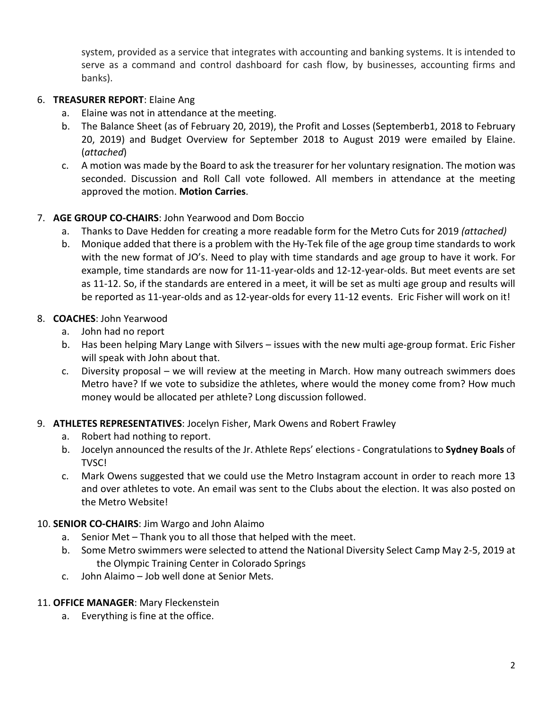system, provided as a service that integrates with accounting and banking systems. It is intended to serve as a command and control dashboard for cash flow, by businesses, accounting firms and banks).

### 6. **TREASURER REPORT**: Elaine Ang

- a. Elaine was not in attendance at the meeting.
- b. The Balance Sheet (as of February 20, 2019), the Profit and Losses (Septemberb1, 2018 to February 20, 2019) and Budget Overview for September 2018 to August 2019 were emailed by Elaine. (*attached*)
- c. A motion was made by the Board to ask the treasurer for her voluntary resignation. The motion was seconded. Discussion and Roll Call vote followed. All members in attendance at the meeting approved the motion. **Motion Carries**.

#### 7. **AGE GROUP CO-CHAIRS**: John Yearwood and Dom Boccio

- a. Thanks to Dave Hedden for creating a more readable form for the Metro Cuts for 2019 *(attached)*
- b. Monique added that there is a problem with the Hy-Tek file of the age group time standards to work with the new format of JO's. Need to play with time standards and age group to have it work. For example, time standards are now for 11-11-year-olds and 12-12-year-olds. But meet events are set as 11-12. So, if the standards are entered in a meet, it will be set as multi age group and results will be reported as 11-year-olds and as 12-year-olds for every 11-12 events. Eric Fisher will work on it!

#### 8. **COACHES**: John Yearwood

- a. John had no report
- b. Has been helping Mary Lange with Silvers issues with the new multi age-group format. Eric Fisher will speak with John about that.
- c. Diversity proposal we will review at the meeting in March. How many outreach swimmers does Metro have? If we vote to subsidize the athletes, where would the money come from? How much money would be allocated per athlete? Long discussion followed.

#### 9. **ATHLETES REPRESENTATIVES**: Jocelyn Fisher, Mark Owens and Robert Frawley

- a. Robert had nothing to report.
- b. Jocelyn announced the results of the Jr. Athlete Reps' elections Congratulations to **Sydney Boals** of TVSC!
- c. Mark Owens suggested that we could use the Metro Instagram account in order to reach more 13 and over athletes to vote. An email was sent to the Clubs about the election. It was also posted on the Metro Website!

#### 10. **SENIOR CO-CHAIRS**: Jim Wargo and John Alaimo

- a. Senior Met Thank you to all those that helped with the meet.
- b. Some Metro swimmers were selected to attend the National Diversity Select Camp May 2-5, 2019 at the Olympic Training Center in Colorado Springs
- c. John Alaimo Job well done at Senior Mets.

#### 11. **OFFICE MANAGER**: Mary Fleckenstein

a. Everything is fine at the office.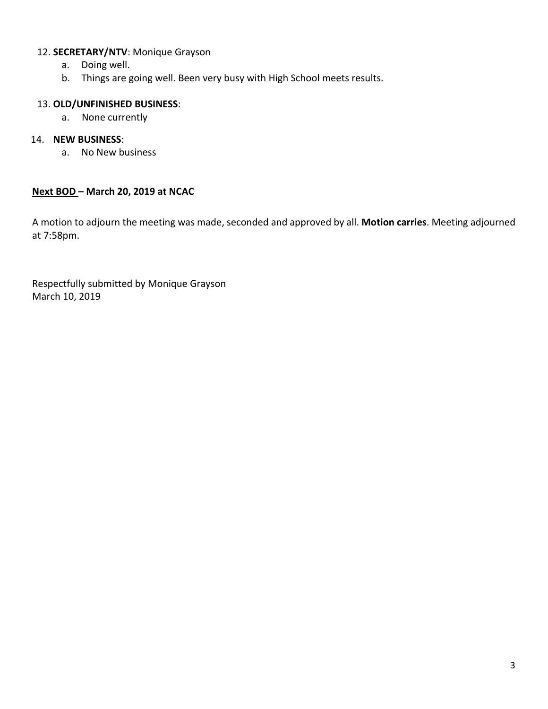#### 12. **SECRETARY/NTV**: Monique Grayson

- a. Doing well.
- b. Things are going well. Been very busy with High School meets results.

# 13. **OLD/UNFINISHED BUSINESS**:

a. None currently

#### 14. **NEW BUSINESS**:

a. No New business

#### **Next BOD – March 20, 2019 at NCAC**

A motion to adjourn the meeting was made, seconded and approved by all. **Motion carries**. Meeting adjourned at 7:58pm.

Respectfully submitted by Monique Grayson March 10, 2019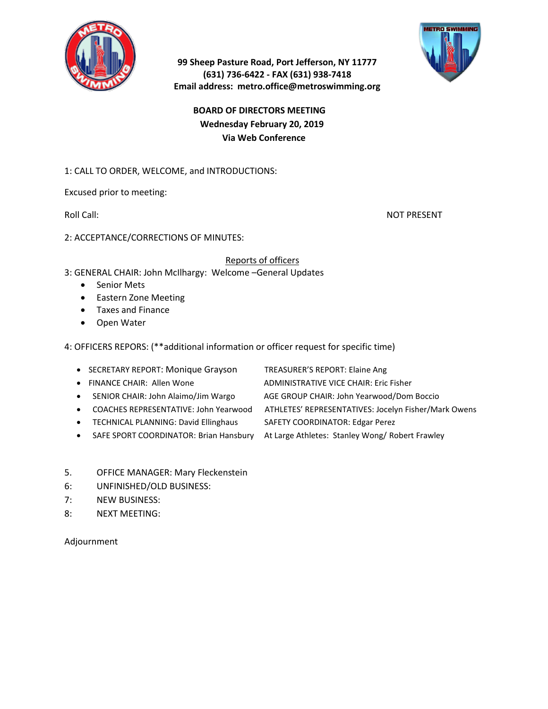

#### **99 Sheep Pasture Road, Port Jefferson, NY 11777 (631) 736-6422 - FAX (631) 938-7418 Email address: metro.office@metroswimming.org**

# **BOARD OF DIRECTORS MEETING Wednesday February 20, 2019 Via Web Conference**

#### 1: CALL TO ORDER, WELCOME, and INTRODUCTIONS:

Excused prior to meeting:

Roll Call: Note and the contract of the contract of the contract of the contract of the contract of the contract of the contract of the contract of the contract of the contract of the contract of the contract of the contra

2: ACCEPTANCE/CORRECTIONS OF MINUTES:

#### Reports of officers

- 3: GENERAL CHAIR: John McIlhargy: Welcome –General Updates
	- Senior Mets
	- Eastern Zone Meeting
	- Taxes and Finance
	- Open Water

4: OFFICERS REPORS: (\*\*additional information or officer request for specific time)

- SECRETARY REPORT: Monique Grayson TREASURER'S REPORT: Elaine Ang
- 
- 
- 
- TECHNICAL PLANNING: David Ellinghaus SAFETY COORDINATOR: Edgar Perez
- 
- 
- FINANCE CHAIR: Allen Wone ADMINISTRATIVE VICE CHAIR: Eric Fisher
- SENIOR CHAIR: John Alaimo/Jim Wargo AGE GROUP CHAIR: John Yearwood/Dom Boccio
- COACHES REPRESENTATIVE: John Yearwood ATHLETES' REPRESENTATIVES: Jocelyn Fisher/Mark Owens
	-
- SAFE SPORT COORDINATOR: Brian Hansbury At Large Athletes: Stanley Wong/ Robert Frawley
- 5. OFFICE MANAGER: Mary Fleckenstein
- 6: UNFINISHED/OLD BUSINESS:
- 7: NEW BUSINESS:
- 8: NEXT MEETING:

Adjournment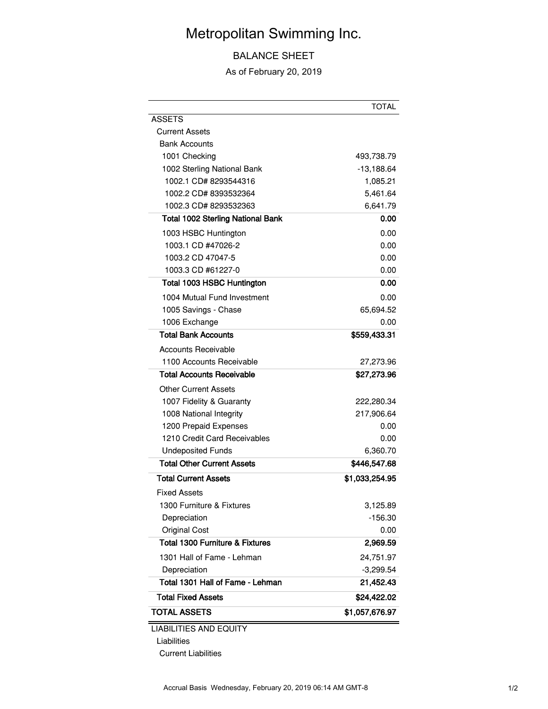# Metropolitan Swimming Inc.

# BALANCE SHEET

As of February 20, 2019

|                                            | <b>TOTAL</b>   |
|--------------------------------------------|----------------|
| <b>ASSETS</b>                              |                |
| Current Assets                             |                |
| <b>Bank Accounts</b>                       |                |
| 1001 Checking                              | 493,738.79     |
| 1002 Sterling National Bank                | $-13,188.64$   |
| 1002.1 CD# 8293544316                      | 1,085.21       |
| 1002.2 CD# 8393532364                      | 5,461.64       |
| 1002.3 CD# 8293532363                      | 6,641.79       |
| <b>Total 1002 Sterling National Bank</b>   | 0.00           |
| 1003 HSBC Huntington                       | 0.00           |
| 1003.1 CD #47026-2                         | 0.00           |
| 1003.2 CD 47047-5                          | 0.00           |
| 1003.3 CD #61227-0                         | 0.00           |
| Total 1003 HSBC Huntington                 | 0.00           |
| 1004 Mutual Fund Investment                | 0.00           |
| 1005 Savings - Chase                       | 65,694.52      |
| 1006 Exchange                              | 0.00           |
| <b>Total Bank Accounts</b>                 | \$559,433.31   |
| Accounts Receivable                        |                |
| 1100 Accounts Receivable                   | 27,273.96      |
| <b>Total Accounts Receivable</b>           | \$27,273.96    |
| Other Current Assets                       |                |
| 1007 Fidelity & Guaranty                   | 222,280.34     |
| 1008 National Integrity                    | 217,906.64     |
| 1200 Prepaid Expenses                      | 0.00           |
| 1210 Credit Card Receivables               | 0.00           |
| <b>Undeposited Funds</b>                   | 6,360.70       |
| <b>Total Other Current Assets</b>          | \$446,547.68   |
| <b>Total Current Assets</b>                | \$1,033,254.95 |
| <b>Fixed Assets</b>                        |                |
| 1300 Furniture & Fixtures                  | 3,125.89       |
| Depreciation                               | $-156.30$      |
| <b>Original Cost</b>                       | 0.00           |
| <b>Total 1300 Furniture &amp; Fixtures</b> | 2,969.59       |
| 1301 Hall of Fame - Lehman                 | 24,751.97      |
| Depreciation                               | $-3,299.54$    |
| Total 1301 Hall of Fame - Lehman           | 21,452.43      |
| <b>Total Fixed Assets</b>                  | \$24,422.02    |
| <b>TOTAL ASSETS</b>                        | \$1,057,676.97 |
| IIA                                        |                |

LIABILITIES AND EQUITY

Liabilities

Current Liabilities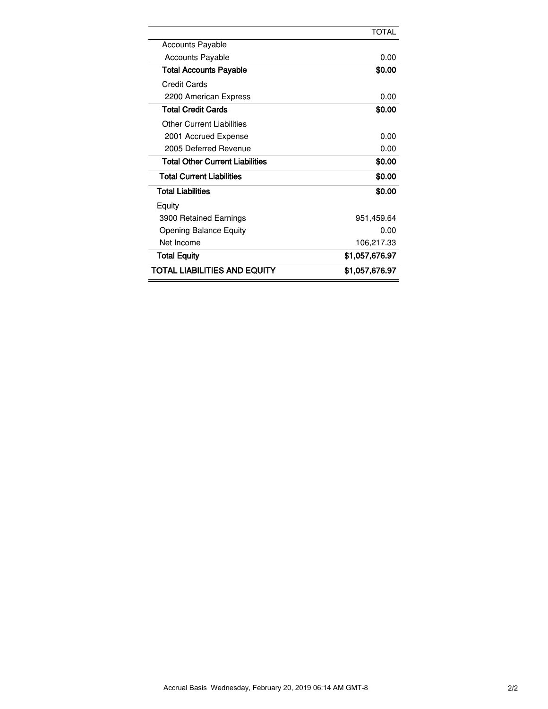|                                     | <b>TOTAL</b>   |
|-------------------------------------|----------------|
| <b>Accounts Payable</b>             |                |
| <b>Accounts Payable</b>             | 0.00           |
| <b>Total Accounts Payable</b>       | \$0.00         |
| Credit Cards                        |                |
| 2200 American Express               | 0.00           |
| <b>Total Credit Cards</b>           | \$0.00         |
| <b>Other Current Liabilities</b>    |                |
| 2001 Accrued Expense                | 0.00           |
| 2005 Deferred Revenue               | 0.00           |
| Total Other Current Liabilities     | \$0.00         |
| <b>Total Current Liabilities</b>    | \$0.00         |
| <b>Total Liabilities</b>            | \$0.00         |
| Equity                              |                |
| 3900 Retained Earnings              | 951,459.64     |
| <b>Opening Balance Equity</b>       | 0.00           |
| Net Income                          | 106,217.33     |
| <b>Total Equity</b>                 | \$1,057,676.97 |
| <b>TOTAL LIABILITIES AND EQUITY</b> | \$1.057.676.97 |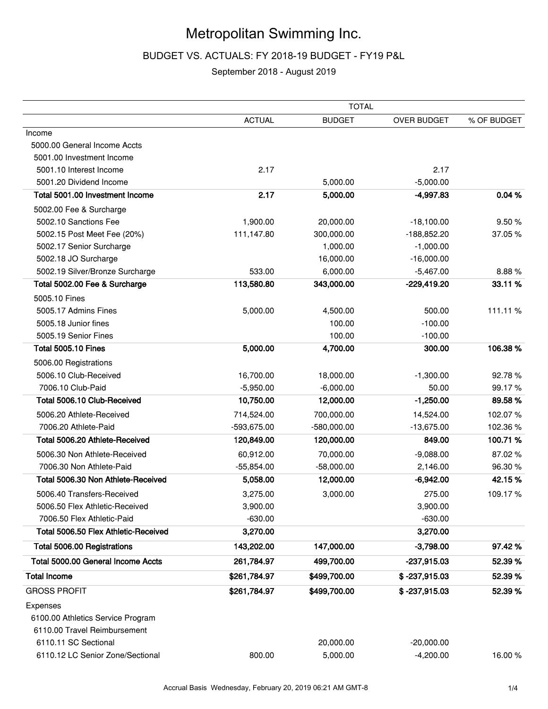# Metropolitan Swimming Inc.

#### BUDGET VS. ACTUALS: FY 2018-19 BUDGET - FY19 P&L

#### September 2018 - August 2019

|                                      |               | <b>TOTAL</b>  |                    |             |
|--------------------------------------|---------------|---------------|--------------------|-------------|
|                                      | <b>ACTUAL</b> | <b>BUDGET</b> | <b>OVER BUDGET</b> | % OF BUDGET |
| Income                               |               |               |                    |             |
| 5000.00 General Income Accts         |               |               |                    |             |
| 5001.00 Investment Income            |               |               |                    |             |
| 5001.10 Interest Income              | 2.17          |               | 2.17               |             |
| 5001.20 Dividend Income              |               | 5,000.00      | $-5,000.00$        |             |
| Total 5001.00 Investment Income      | 2.17          | 5,000.00      | -4,997.83          | 0.04%       |
| 5002.00 Fee & Surcharge              |               |               |                    |             |
| 5002.10 Sanctions Fee                | 1,900.00      | 20,000.00     | $-18,100.00$       | 9.50%       |
| 5002.15 Post Meet Fee (20%)          | 111,147.80    | 300,000.00    | $-188,852.20$      | 37.05 %     |
| 5002.17 Senior Surcharge             |               | 1,000.00      | $-1,000.00$        |             |
| 5002.18 JO Surcharge                 |               | 16,000.00     | $-16,000.00$       |             |
| 5002.19 Silver/Bronze Surcharge      | 533.00        | 6,000.00      | $-5,467.00$        | 8.88%       |
| Total 5002.00 Fee & Surcharge        | 113,580.80    | 343,000.00    | -229,419.20        | 33.11%      |
| 5005.10 Fines                        |               |               |                    |             |
| 5005.17 Admins Fines                 | 5,000.00      | 4,500.00      | 500.00             | 111.11%     |
| 5005.18 Junior fines                 |               | 100.00        | $-100.00$          |             |
| 5005.19 Senior Fines                 |               | 100.00        | $-100.00$          |             |
| <b>Total 5005.10 Fines</b>           | 5,000.00      | 4,700.00      | 300.00             | 106.38%     |
| 5006.00 Registrations                |               |               |                    |             |
| 5006.10 Club-Received                | 16,700.00     | 18,000.00     | $-1,300.00$        | 92.78%      |
| 7006.10 Club-Paid                    | $-5,950.00$   | $-6,000.00$   | 50.00              | 99.17%      |
| Total 5006.10 Club-Received          | 10,750.00     | 12,000.00     | $-1,250.00$        | 89.58%      |
| 5006.20 Athlete-Received             | 714,524.00    | 700,000.00    | 14,524.00          | 102.07%     |
| 7006.20 Athlete-Paid                 | -593,675.00   | $-580,000.00$ | $-13,675.00$       | 102.36%     |
| Total 5006.20 Athlete-Received       | 120,849.00    | 120,000.00    | 849.00             | 100.71%     |
| 5006.30 Non Athlete-Received         | 60,912.00     | 70,000.00     | $-9,088.00$        | 87.02%      |
| 7006.30 Non Athlete-Paid             | $-55,854.00$  | $-58,000.00$  | 2,146.00           | 96.30%      |
| Total 5006.30 Non Athlete-Received   | 5,058.00      | 12,000.00     | $-6,942.00$        | 42.15%      |
| 5006.40 Transfers-Received           | 3,275.00      | 3,000.00      | 275.00             | 109.17%     |
| 5006.50 Flex Athletic-Received       | 3,900.00      |               | 3,900.00           |             |
| 7006.50 Flex Athletic-Paid           | $-630.00$     |               | $-630.00$          |             |
| Total 5006.50 Flex Athletic-Received | 3,270.00      |               | 3,270.00           |             |
| Total 5006.00 Registrations          | 143,202.00    | 147,000.00    | $-3,798.00$        | 97.42%      |
| Total 5000.00 General Income Accts   | 261,784.97    | 499,700.00    | $-237,915.03$      | 52.39%      |
| <b>Total Income</b>                  | \$261,784.97  | \$499,700.00  | \$-237,915.03      | 52.39 %     |
| <b>GROSS PROFIT</b>                  | \$261,784.97  | \$499,700.00  | \$-237,915.03      | 52.39%      |
| Expenses                             |               |               |                    |             |
| 6100.00 Athletics Service Program    |               |               |                    |             |
| 6110.00 Travel Reimbursement         |               |               |                    |             |
| 6110.11 SC Sectional                 |               | 20,000.00     | $-20,000.00$       |             |
| 6110.12 LC Senior Zone/Sectional     | 800.00        | 5,000.00      | $-4,200.00$        | 16.00 %     |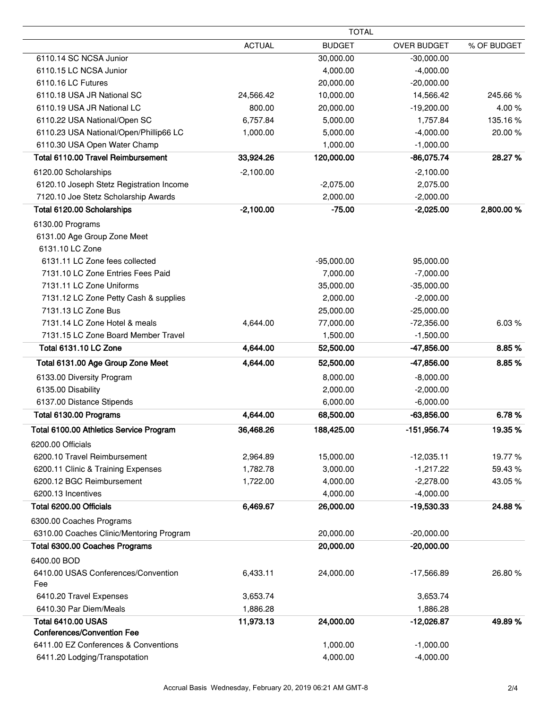|                                                              |               | <b>TOTAL</b>          |                    |             |
|--------------------------------------------------------------|---------------|-----------------------|--------------------|-------------|
|                                                              | <b>ACTUAL</b> | <b>BUDGET</b>         | <b>OVER BUDGET</b> | % OF BUDGET |
| 6110.14 SC NCSA Junior                                       |               | 30,000.00             | $-30,000.00$       |             |
| 6110.15 LC NCSA Junior                                       |               | 4,000.00              | $-4,000.00$        |             |
| 6110.16 LC Futures                                           |               | 20,000.00             | $-20,000.00$       |             |
| 6110.18 USA JR National SC                                   | 24,566.42     | 10,000.00             | 14,566.42          | 245.66%     |
| 6110.19 USA JR National LC                                   | 800.00        | 20,000.00             | $-19,200.00$       | 4.00%       |
| 6110.22 USA National/Open SC                                 | 6,757.84      | 5,000.00              | 1,757.84           | 135.16%     |
| 6110.23 USA National/Open/Phillip66 LC                       | 1,000.00      | 5,000.00              | $-4,000.00$        | 20.00%      |
| 6110.30 USA Open Water Champ                                 |               | 1,000.00              | $-1,000.00$        |             |
| Total 6110.00 Travel Reimbursement                           | 33,924.26     | 120,000.00            | $-86,075.74$       | 28.27%      |
| 6120.00 Scholarships                                         | $-2,100.00$   |                       | $-2,100.00$        |             |
| 6120.10 Joseph Stetz Registration Income                     |               | $-2,075.00$           | 2,075.00           |             |
| 7120.10 Joe Stetz Scholarship Awards                         |               | 2,000.00              | $-2,000.00$        |             |
| Total 6120.00 Scholarships                                   | $-2,100.00$   | $-75.00$              | $-2,025.00$        | 2,800.00 %  |
| 6130.00 Programs                                             |               |                       |                    |             |
| 6131.00 Age Group Zone Meet                                  |               |                       |                    |             |
| 6131.10 LC Zone                                              |               |                       |                    |             |
| 6131.11 LC Zone fees collected                               |               | $-95,000.00$          | 95,000.00          |             |
| 7131.10 LC Zone Entries Fees Paid                            |               | 7,000.00              | $-7,000.00$        |             |
| 7131.11 LC Zone Uniforms                                     |               |                       |                    |             |
|                                                              |               | 35,000.00             | $-35,000.00$       |             |
| 7131.12 LC Zone Petty Cash & supplies<br>7131.13 LC Zone Bus |               | 2,000.00              | $-2,000.00$        |             |
|                                                              |               | 25,000.00             | $-25,000.00$       |             |
| 7131.14 LC Zone Hotel & meals                                | 4,644.00      | 77,000.00             | $-72,356.00$       | 6.03%       |
| 7131.15 LC Zone Board Member Travel<br>Total 6131.10 LC Zone | 4,644.00      | 1,500.00<br>52,500.00 | $-1,500.00$        | 8.85%       |
|                                                              |               |                       | -47,856.00         |             |
| Total 6131.00 Age Group Zone Meet                            | 4,644.00      | 52,500.00             | -47,856.00         | 8.85%       |
| 6133.00 Diversity Program                                    |               | 8,000.00              | $-8,000.00$        |             |
| 6135.00 Disability                                           |               | 2,000.00              | $-2,000.00$        |             |
| 6137.00 Distance Stipends                                    |               | 6,000.00              | $-6,000.00$        |             |
| Total 6130.00 Programs                                       | 4,644.00      | 68,500.00             | $-63,856.00$       | 6.78%       |
| Total 6100.00 Athletics Service Program                      | 36,468.26     | 188,425.00            | $-151,956.74$      | 19.35%      |
| 6200.00 Officials                                            |               |                       |                    |             |
| 6200.10 Travel Reimbursement                                 | 2,964.89      | 15,000.00             | $-12,035.11$       | 19.77%      |
| 6200.11 Clinic & Training Expenses                           | 1,782.78      | 3,000.00              | $-1,217.22$        | 59.43 %     |
| 6200.12 BGC Reimbursement                                    | 1,722.00      | 4,000.00              | $-2,278.00$        | 43.05 %     |
| 6200.13 Incentives                                           |               | 4,000.00              | $-4,000.00$        |             |
| Total 6200.00 Officials                                      | 6,469.67      | 26,000.00             | $-19,530.33$       | 24.88%      |
| 6300.00 Coaches Programs                                     |               |                       |                    |             |
| 6310.00 Coaches Clinic/Mentoring Program                     |               | 20,000.00             | $-20,000.00$       |             |
| Total 6300.00 Coaches Programs                               |               | 20,000.00             | $-20,000.00$       |             |
| 6400.00 BOD                                                  |               |                       |                    |             |
| 6410.00 USAS Conferences/Convention                          | 6,433.11      | 24,000.00             | $-17,566.89$       | 26.80%      |
| Fee                                                          |               |                       |                    |             |
| 6410.20 Travel Expenses                                      | 3,653.74      |                       | 3,653.74           |             |
| 6410.30 Par Diem/Meals                                       | 1,886.28      |                       | 1,886.28           |             |
| <b>Total 6410.00 USAS</b>                                    |               |                       |                    | 49.89%      |
|                                                              | 11,973.13     | 24,000.00             | $-12,026.87$       |             |
| <b>Conferences/Convention Fee</b>                            |               |                       |                    |             |
| 6411.00 EZ Conferences & Conventions                         |               | 1,000.00              | $-1,000.00$        |             |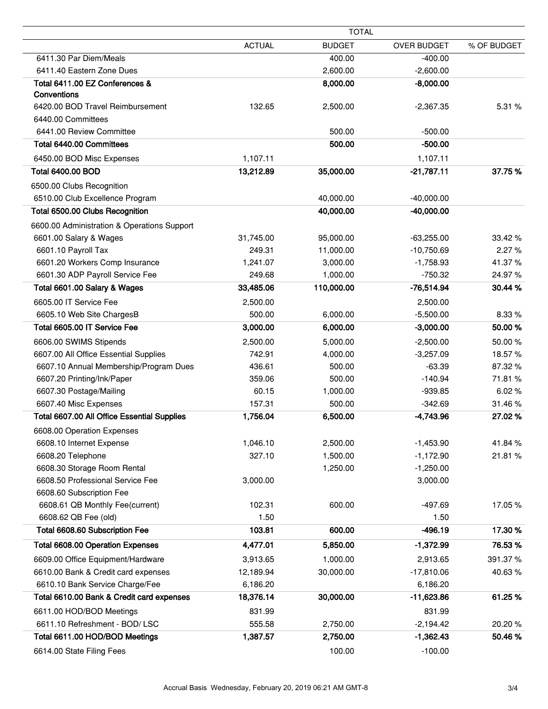|                                             | <b>TOTAL</b>  |               |                    |             |
|---------------------------------------------|---------------|---------------|--------------------|-------------|
|                                             | <b>ACTUAL</b> | <b>BUDGET</b> | <b>OVER BUDGET</b> | % OF BUDGET |
| 6411.30 Par Diem/Meals                      |               | 400.00        | $-400.00$          |             |
| 6411.40 Eastern Zone Dues                   |               | 2,600.00      | $-2,600.00$        |             |
| Total 6411.00 EZ Conferences &              |               | 8,000.00      | $-8,000.00$        |             |
| Conventions                                 |               |               |                    |             |
| 6420.00 BOD Travel Reimbursement            | 132.65        | 2,500.00      | $-2,367.35$        | 5.31 %      |
| 6440.00 Committees                          |               |               |                    |             |
| 6441.00 Review Committee                    |               | 500.00        | $-500.00$          |             |
| Total 6440.00 Committees                    |               | 500.00        | $-500.00$          |             |
| 6450.00 BOD Misc Expenses                   | 1,107.11      |               | 1,107.11           |             |
| <b>Total 6400.00 BOD</b>                    | 13,212.89     | 35,000.00     | $-21,787.11$       | 37.75%      |
| 6500.00 Clubs Recognition                   |               |               |                    |             |
| 6510.00 Club Excellence Program             |               | 40,000.00     | $-40,000.00$       |             |
| Total 6500.00 Clubs Recognition             |               | 40,000.00     | $-40,000.00$       |             |
| 6600.00 Administration & Operations Support |               |               |                    |             |
| 6601.00 Salary & Wages                      | 31,745.00     | 95,000.00     | $-63,255.00$       | 33.42 %     |
| 6601.10 Payroll Tax                         | 249.31        | 11,000.00     | $-10,750.69$       | 2.27%       |
| 6601.20 Workers Comp Insurance              | 1,241.07      | 3,000.00      | $-1,758.93$        | 41.37%      |
| 6601.30 ADP Payroll Service Fee             | 249.68        | 1,000.00      | $-750.32$          | 24.97%      |
| Total 6601.00 Salary & Wages                | 33,485.06     | 110,000.00    | $-76,514.94$       | 30.44 %     |
| 6605.00 IT Service Fee                      | 2,500.00      |               | 2,500.00           |             |
| 6605.10 Web Site ChargesB                   | 500.00        | 6,000.00      | $-5,500.00$        | 8.33 %      |
| Total 6605.00 IT Service Fee                | 3,000.00      | 6,000.00      | $-3,000.00$        | 50.00%      |
| 6606.00 SWIMS Stipends                      | 2,500.00      | 5,000.00      | $-2,500.00$        | 50.00%      |
| 6607.00 All Office Essential Supplies       | 742.91        | 4,000.00      | $-3,257.09$        | 18.57%      |
| 6607.10 Annual Membership/Program Dues      | 436.61        | 500.00        | $-63.39$           | 87.32%      |
| 6607.20 Printing/Ink/Paper                  | 359.06        | 500.00        | $-140.94$          | 71.81%      |
| 6607.30 Postage/Mailing                     | 60.15         | 1,000.00      | $-939.85$          | 6.02%       |
| 6607.40 Misc Expenses                       | 157.31        | 500.00        | $-342.69$          | 31.46%      |
| Total 6607.00 All Office Essential Supplies | 1,756.04      | 6,500.00      | $-4,743.96$        | 27.02%      |
| 6608.00 Operation Expenses                  |               |               |                    |             |
| 6608.10 Internet Expense                    | 1,046.10      | 2,500.00      | $-1,453.90$        | 41.84%      |
| 6608.20 Telephone                           | 327.10        | 1,500.00      | $-1,172.90$        | 21.81%      |
| 6608.30 Storage Room Rental                 |               | 1,250.00      | $-1,250.00$        |             |
| 6608.50 Professional Service Fee            | 3,000.00      |               | 3,000.00           |             |
| 6608.60 Subscription Fee                    |               |               |                    |             |
| 6608.61 QB Monthly Fee(current)             | 102.31        | 600.00        | $-497.69$          | 17.05%      |
| 6608.62 QB Fee (old)                        | 1.50          |               | 1.50               |             |
| Total 6608.60 Subscription Fee              | 103.81        | 600.00        | $-496.19$          | 17.30%      |
| Total 6608.00 Operation Expenses            | 4,477.01      | 5,850.00      | $-1,372.99$        | 76.53%      |
| 6609.00 Office Equipment/Hardware           | 3,913.65      | 1,000.00      | 2,913.65           | 391.37%     |
| 6610.00 Bank & Credit card expenses         | 12,189.94     | 30,000.00     | $-17,810.06$       | 40.63%      |
| 6610.10 Bank Service Charge/Fee             | 6,186.20      |               | 6,186.20           |             |
| Total 6610.00 Bank & Credit card expenses   | 18,376.14     | 30,000.00     | $-11,623.86$       | 61.25%      |
| 6611.00 HOD/BOD Meetings                    | 831.99        |               | 831.99             |             |
| 6611.10 Refreshment - BOD/ LSC              | 555.58        | 2,750.00      | $-2,194.42$        | 20.20%      |
| Total 6611.00 HOD/BOD Meetings              | 1,387.57      | 2,750.00      | $-1,362.43$        | 50.46%      |
| 6614.00 State Filing Fees                   |               | 100.00        | $-100.00$          |             |
|                                             |               |               |                    |             |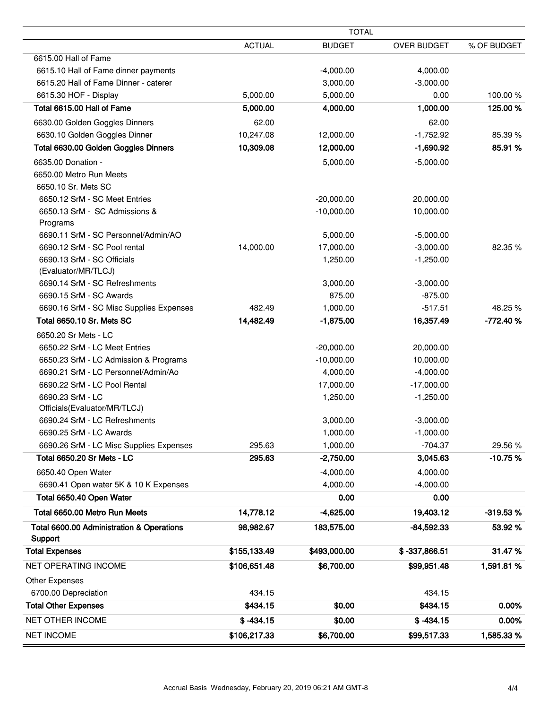|                                           | <b>TOTAL</b>  |               |                    |             |
|-------------------------------------------|---------------|---------------|--------------------|-------------|
|                                           | <b>ACTUAL</b> | <b>BUDGET</b> | <b>OVER BUDGET</b> | % OF BUDGET |
| 6615.00 Hall of Fame                      |               |               |                    |             |
| 6615.10 Hall of Fame dinner payments      |               | $-4,000.00$   | 4,000.00           |             |
| 6615.20 Hall of Fame Dinner - caterer     |               | 3,000.00      | $-3,000.00$        |             |
| 6615.30 HOF - Display                     | 5,000.00      | 5,000.00      | 0.00               | 100.00%     |
| Total 6615.00 Hall of Fame                | 5,000.00      | 4,000.00      | 1,000.00           | 125.00 %    |
| 6630.00 Golden Goggles Dinners            | 62.00         |               | 62.00              |             |
| 6630.10 Golden Goggles Dinner             | 10,247.08     | 12,000.00     | $-1,752.92$        | 85.39 %     |
| Total 6630.00 Golden Goggles Dinners      | 10,309.08     | 12,000.00     | $-1,690.92$        | 85.91%      |
| 6635.00 Donation -                        |               | 5,000.00      | $-5,000.00$        |             |
| 6650.00 Metro Run Meets                   |               |               |                    |             |
| 6650.10 Sr. Mets SC                       |               |               |                    |             |
| 6650.12 SrM - SC Meet Entries             |               | $-20,000.00$  | 20,000.00          |             |
| 6650.13 SrM - SC Admissions &             |               | $-10,000.00$  | 10,000.00          |             |
| Programs                                  |               |               |                    |             |
| 6690.11 SrM - SC Personnel/Admin/AO       |               | 5,000.00      | $-5,000.00$        |             |
| 6690.12 SrM - SC Pool rental              | 14,000.00     | 17,000.00     | $-3,000.00$        | 82.35%      |
| 6690.13 SrM - SC Officials                |               | 1,250.00      | $-1,250.00$        |             |
| (Evaluator/MR/TLCJ)                       |               |               |                    |             |
| 6690.14 SrM - SC Refreshments             |               | 3,000.00      | $-3,000.00$        |             |
| 6690.15 SrM - SC Awards                   |               | 875.00        | $-875.00$          |             |
| 6690.16 SrM - SC Misc Supplies Expenses   | 482.49        | 1,000.00      | $-517.51$          | 48.25 %     |
| Total 6650.10 Sr. Mets SC                 | 14,482.49     | $-1,875.00$   | 16,357.49          | $-772.40%$  |
| 6650.20 Sr Mets - LC                      |               |               |                    |             |
| 6650.22 SrM - LC Meet Entries             |               | $-20,000.00$  | 20,000.00          |             |
| 6650.23 SrM - LC Admission & Programs     |               | $-10,000.00$  | 10,000.00          |             |
| 6690.21 SrM - LC Personnel/Admin/Ao       |               | 4,000.00      | $-4,000.00$        |             |
| 6690.22 SrM - LC Pool Rental              |               | 17,000.00     | $-17,000.00$       |             |
| 6690.23 SrM - LC                          |               | 1,250.00      | $-1,250.00$        |             |
| Officials(Evaluator/MR/TLCJ)              |               |               |                    |             |
| 6690.24 SrM - LC Refreshments             |               | 3,000.00      | $-3,000.00$        |             |
| 6690.25 SrM - LC Awards                   |               | 1,000.00      | $-1,000.00$        |             |
| 6690.26 SrM - LC Misc Supplies Expenses   | 295.63        | 1,000.00      | $-704.37$          | 29.56%      |
| Total 6650.20 Sr Mets - LC                | 295.63        | $-2,750.00$   | 3,045.63           | $-10.75%$   |
| 6650.40 Open Water                        |               | $-4,000.00$   | 4,000.00           |             |
| 6690.41 Open water 5K & 10 K Expenses     |               | 4,000.00      | $-4,000.00$        |             |
| Total 6650.40 Open Water                  |               | 0.00          | 0.00               |             |
| Total 6650.00 Metro Run Meets             | 14,778.12     | $-4,625.00$   | 19,403.12          | $-319.53%$  |
| Total 6600.00 Administration & Operations | 98,982.67     | 183,575.00    | $-84,592.33$       | 53.92 %     |
| Support                                   |               |               |                    |             |
| <b>Total Expenses</b>                     | \$155,133.49  | \$493,000.00  | \$-337,866.51      | 31.47%      |
| NET OPERATING INCOME                      | \$106,651.48  | \$6,700.00    | \$99,951.48        | 1,591.81 %  |
| Other Expenses                            |               |               |                    |             |
| 6700.00 Depreciation                      | 434.15        |               | 434.15             |             |
| <b>Total Other Expenses</b>               | \$434.15      | \$0.00        | \$434.15           | 0.00%       |
| NET OTHER INCOME                          | $$ -434.15$   | \$0.00        | $$ -434.15$        | 0.00%       |
| <b>NET INCOME</b>                         | \$106,217.33  | \$6,700.00    | \$99,517.33        | 1,585.33 %  |
|                                           |               |               |                    |             |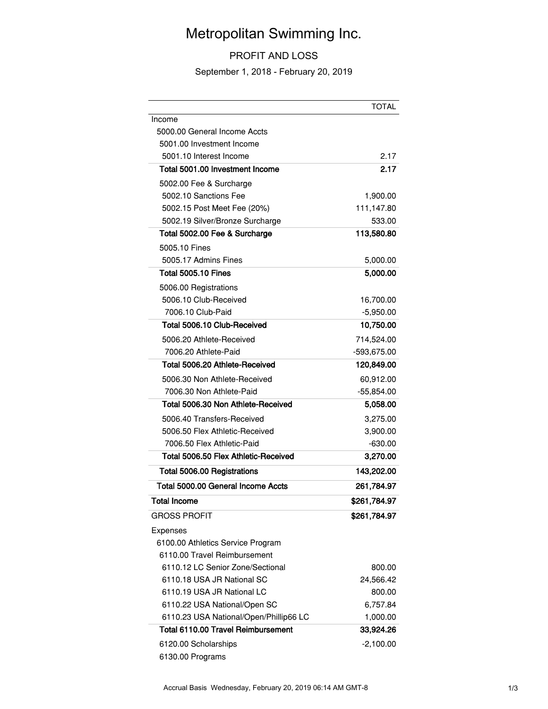# Metropolitan Swimming Inc.

#### PROFIT AND LOSS

September 1, 2018 - February 20, 2019

|                                        | <b>TOTAL</b> |
|----------------------------------------|--------------|
| Income                                 |              |
| 5000.00 General Income Accts           |              |
| 5001.00 Investment Income              |              |
| 5001.10 Interest Income                | 2.17         |
| Total 5001.00 Investment Income        | 2.17         |
| 5002.00 Fee & Surcharge                |              |
| 5002.10 Sanctions Fee                  | 1,900.00     |
| 5002.15 Post Meet Fee (20%)            | 111,147.80   |
| 5002.19 Silver/Bronze Surcharge        | 533.00       |
| Total 5002.00 Fee & Surcharge          | 113,580.80   |
| 5005.10 Fines                          |              |
| 5005.17 Admins Fines                   | 5,000.00     |
| <b>Total 5005.10 Fines</b>             | 5,000.00     |
| 5006.00 Registrations                  |              |
| 5006.10 Club-Received                  | 16,700.00    |
| 7006.10 Club-Paid                      | $-5,950.00$  |
| Total 5006.10 Club-Received            | 10,750.00    |
| 5006.20 Athlete-Received               | 714,524.00   |
| 7006.20 Athlete-Paid                   | -593,675.00  |
| Total 5006.20 Athlete-Received         | 120,849.00   |
| 5006.30 Non Athlete-Received           | 60,912.00    |
| 7006.30 Non Athlete-Paid               | $-55,854.00$ |
| Total 5006.30 Non Athlete-Received     | 5,058.00     |
| 5006.40 Transfers-Received             | 3,275.00     |
| 5006.50 Flex Athletic-Received         | 3,900.00     |
| 7006.50 Flex Athletic-Paid             | $-630.00$    |
| Total 5006.50 Flex Athletic-Received   | 3,270.00     |
| Total 5006.00 Registrations            | 143,202.00   |
| Total 5000.00 General Income Accts     | 261,784.97   |
| <b>Total Income</b>                    | \$261,784.97 |
| <b>GROSS PROFIT</b>                    | \$261,784.97 |
| Expenses                               |              |
| 6100.00 Athletics Service Program      |              |
| 6110.00 Travel Reimbursement           |              |
| 6110.12 LC Senior Zone/Sectional       | 800.00       |
| 6110.18 USA JR National SC             | 24,566.42    |
| 6110.19 USA JR National LC             | 800.00       |
| 6110.22 USA National/Open SC           | 6,757.84     |
| 6110.23 USA National/Open/Phillip66 LC | 1,000.00     |
| Total 6110.00 Travel Reimbursement     | 33,924.26    |
| 6120.00 Scholarships                   | $-2,100.00$  |
| 6130.00 Programs                       |              |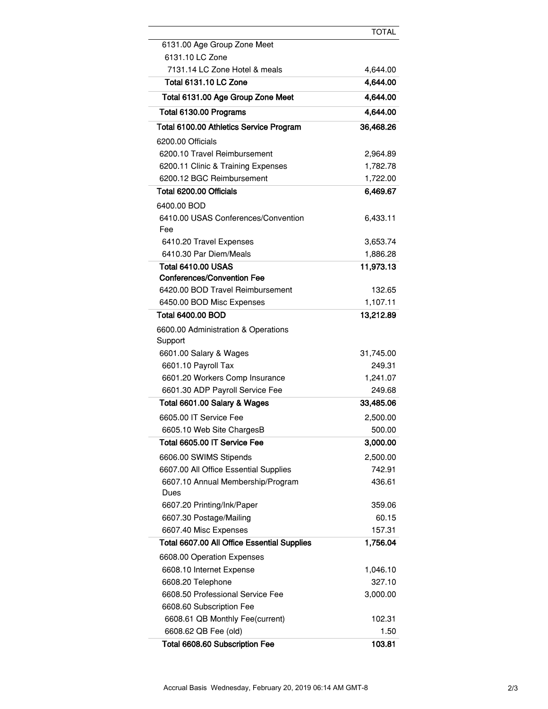|                                             | <b>TOTAL</b> |
|---------------------------------------------|--------------|
| 6131.00 Age Group Zone Meet                 |              |
| 6131.10 LC Zone                             |              |
| 7131.14 LC Zone Hotel & meals               | 4,644.00     |
| <b>Total 6131.10 LC Zone</b>                | 4,644.00     |
| Total 6131.00 Age Group Zone Meet           | 4,644.00     |
| Total 6130.00 Programs                      | 4,644.00     |
| Total 6100.00 Athletics Service Program     | 36,468.26    |
| 6200.00 Officials                           |              |
| 6200.10 Travel Reimbursement                | 2,964.89     |
| 6200.11 Clinic & Training Expenses          | 1,782.78     |
| 6200.12 BGC Reimbursement                   | 1,722.00     |
| Total 6200.00 Officials                     | 6,469.67     |
| 6400.00 BOD                                 |              |
| 6410.00 USAS Conferences/Convention<br>Fee  | 6,433.11     |
| 6410.20 Travel Expenses                     | 3,653.74     |
| 6410.30 Par Diem/Meals                      | 1,886.28     |
| <b>Total 6410.00 USAS</b>                   | 11,973.13    |
| <b>Conferences/Convention Fee</b>           |              |
| 6420.00 BOD Travel Reimbursement            | 132.65       |
| 6450.00 BOD Misc Expenses                   | 1,107.11     |
| Total 6400.00 BOD                           | 13,212.89    |
| 6600.00 Administration & Operations         |              |
| Support                                     |              |
| 6601.00 Salary & Wages                      | 31,745.00    |
| 6601.10 Payroll Tax                         | 249.31       |
| 6601.20 Workers Comp Insurance              | 1,241.07     |
| 6601.30 ADP Payroll Service Fee             | 249.68       |
| Total 6601.00 Salary & Wages                | 33,485.06    |
| 6605.00 IT Service Fee                      | 2,500.00     |
| 6605.10 Web Site ChargesB                   | 500.00       |
| Total 6605.00 IT Service Fee                | 3,000.00     |
| 6606.00 SWIMS Stipends                      | 2,500.00     |
| 6607.00 All Office Essential Supplies       | 742.91       |
| 6607.10 Annual Membership/Program<br>Dues   | 436.61       |
| 6607.20 Printing/Ink/Paper                  | 359.06       |
| 6607.30 Postage/Mailing                     | 60.15        |
| 6607.40 Misc Expenses                       | 157.31       |
| Total 6607.00 All Office Essential Supplies | 1,756.04     |
| 6608.00 Operation Expenses                  |              |
| 6608.10 Internet Expense                    | 1,046.10     |
| 6608.20 Telephone                           | 327.10       |
| 6608.50 Professional Service Fee            | 3,000.00     |
| 6608.60 Subscription Fee                    |              |
| 6608.61 QB Monthly Fee(current)             | 102.31       |
| 6608.62 QB Fee (old)                        | 1.50         |
| Total 6608.60 Subscription Fee              | 103.81       |

 $\overline{\phantom{a}}$ 

 $\overline{\phantom{a}}$